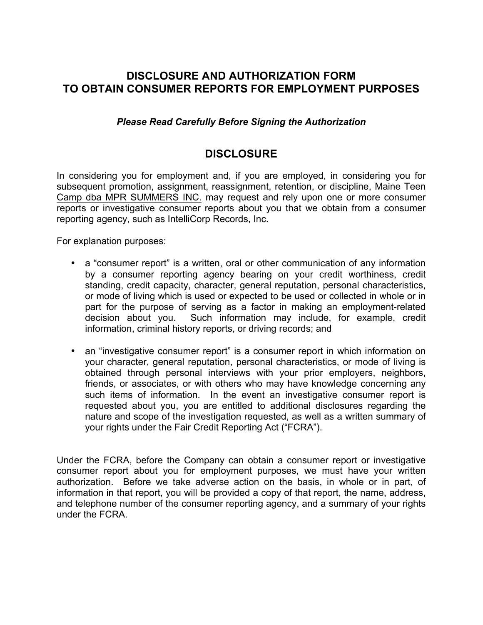## **DISCLOSURE AND AUTHORIZATION FORM TO OBTAIN CONSUMER REPORTS FOR EMPLOYMENT PURPOSES**

### *Please Read Carefully Before Signing the Authorization*

## **DISCLOSURE**

In considering you for employment and, if you are employed, in considering you for subsequent promotion, assignment, reassignment, retention, or discipline, Maine Teen Camp dba MPR SUMMERS INC. may request and rely upon one or more consumer reports or investigative consumer reports about you that we obtain from a consumer reporting agency, such as IntelliCorp Records, Inc.

For explanation purposes:

- a "consumer report" is a written, oral or other communication of any information by a consumer reporting agency bearing on your credit worthiness, credit standing, credit capacity, character, general reputation, personal characteristics, or mode of living which is used or expected to be used or collected in whole or in part for the purpose of serving as a factor in making an employment-related decision about you. Such information may include, for example, credit information, criminal history reports, or driving records; and
- an "investigative consumer report" is a consumer report in which information on your character, general reputation, personal characteristics, or mode of living is obtained through personal interviews with your prior employers, neighbors, friends, or associates, or with others who may have knowledge concerning any such items of information. In the event an investigative consumer report is requested about you, you are entitled to additional disclosures regarding the nature and scope of the investigation requested, as well as a written summary of your rights under the Fair Credit Reporting Act ("FCRA").

Under the FCRA, before the Company can obtain a consumer report or investigative consumer report about you for employment purposes, we must have your written authorization. Before we take adverse action on the basis, in whole or in part, of information in that report, you will be provided a copy of that report, the name, address, and telephone number of the consumer reporting agency, and a summary of your rights under the FCRA.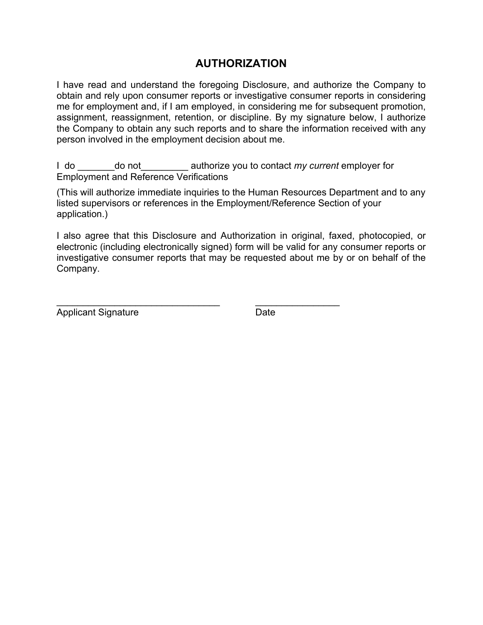# **AUTHORIZATION**

I have read and understand the foregoing Disclosure, and authorize the Company to obtain and rely upon consumer reports or investigative consumer reports in considering me for employment and, if I am employed, in considering me for subsequent promotion, assignment, reassignment, retention, or discipline. By my signature below, I authorize the Company to obtain any such reports and to share the information received with any person involved in the employment decision about me.

I do \_\_\_\_\_\_\_do not\_\_\_\_\_\_\_\_\_ authorize you to contact *my current* employer for Employment and Reference Verifications

(This will authorize immediate inquiries to the Human Resources Department and to any listed supervisors or references in the Employment/Reference Section of your application.)

I also agree that this Disclosure and Authorization in original, faxed, photocopied, or electronic (including electronically signed) form will be valid for any consumer reports or investigative consumer reports that may be requested about me by or on behalf of the Company.

\_\_\_\_\_\_\_\_\_\_\_\_\_\_\_\_\_\_\_\_\_\_\_\_\_\_\_\_\_\_\_ \_\_\_\_\_\_\_\_\_\_\_\_\_\_\_\_

Applicant Signature Date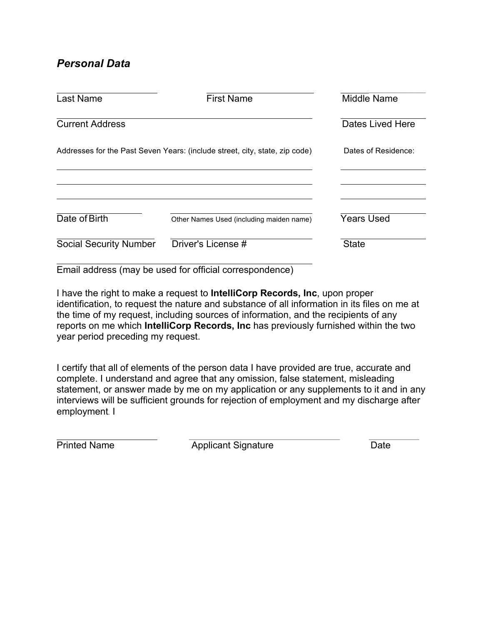# *Personal Data*

| Last Name                     | <b>First Name</b>                                                           | <b>Middle Name</b>  |
|-------------------------------|-----------------------------------------------------------------------------|---------------------|
| <b>Current Address</b>        |                                                                             | Dates Lived Here    |
|                               | Addresses for the Past Seven Years: (include street, city, state, zip code) | Dates of Residence: |
|                               |                                                                             |                     |
| Date of Birth                 | Other Names Used (including maiden name)                                    | <b>Years Used</b>   |
| <b>Social Security Number</b> | Driver's License #                                                          | <b>State</b>        |
|                               | Email address (may be used for official correspondence)                     |                     |

I have the right to make a request to **IntelliCorp Records, Inc**, upon proper identification, to request the nature and substance of all information in its files on me at the time of my request, including sources of information, and the recipients of any reports on me which **IntelliCorp Records, Inc** has previously furnished within the two year period preceding my request.

I certify that all of elements of the person data I have provided are true, accurate and complete. I understand and agree that any omission, false statement, misleading statement, or answer made by me on my application or any supplements to it and in any interviews will be sufficient grounds for rejection of employment and my discharge after employment. I

**Printed Name** Applicant Signature Date

 $\mathcal{L}_\text{max}$  , and the contract of the contract of the contract of the contract of the contract of the contract of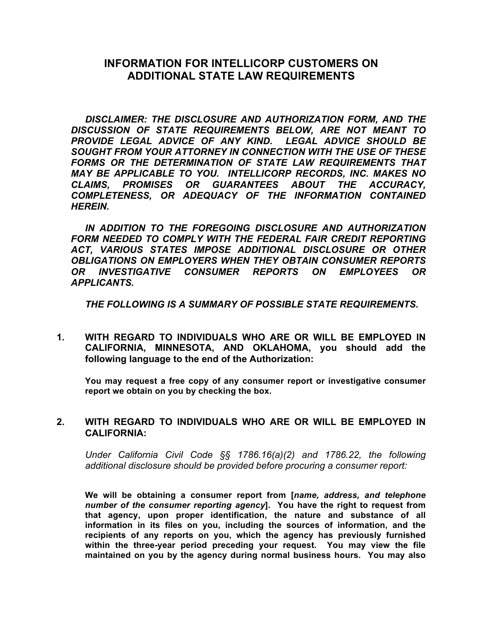## **INFORMATION FOR INTELLICORP CUSTOMERS ON ADDITIONAL STATE LAW REQUIREMENTS**

*DISCLAIMER: THE DISCLOSURE AND AUTHORIZATION FORM, AND THE DISCUSSION OF STATE REQUIREMENTS BELOW, ARE NOT MEANT TO PROVIDE LEGAL ADVICE OF ANY KIND. LEGAL ADVICE SHOULD BE SOUGHT FROM YOUR ATTORNEY IN CONNECTION WITH THE USE OF THESE FORMS OR THE DETERMINATION OF STATE LAW REQUIREMENTS THAT MAY BE APPLICABLE TO YOU. INTELLICORP RECORDS, INC. MAKES NO CLAIMS, PROMISES OR GUARANTEES ABOUT THE ACCURACY, COMPLETENESS, OR ADEQUACY OF THE INFORMATION CONTAINED HEREIN.* 

*IN ADDITION TO THE FOREGOING DISCLOSURE AND AUTHORIZATION FORM NEEDED TO COMPLY WITH THE FEDERAL FAIR CREDIT REPORTING ACT, VARIOUS STATES IMPOSE ADDITIONAL DISCLOSURE OR OTHER OBLIGATIONS ON EMPLOYERS WHEN THEY OBTAIN CONSUMER REPORTS OR INVESTIGATIVE CONSUMER REPORTS ON EMPLOYEES OR APPLICANTS.*

*THE FOLLOWING IS A SUMMARY OF POSSIBLE STATE REQUIREMENTS.* 

**1. WITH REGARD TO INDIVIDUALS WHO ARE OR WILL BE EMPLOYED IN CALIFORNIA, MINNESOTA, AND OKLAHOMA, you should add the following language to the end of the Authorization:**

 **You may request a free copy of any consumer report or investigative consumer report we obtain on you by checking the box.** 

#### **2. WITH REGARD TO INDIVIDUALS WHO ARE OR WILL BE EMPLOYED IN CALIFORNIA:**

*Under California Civil Code §§ 1786.16(a)(2) and 1786.22, the following additional disclosure should be provided before procuring a consumer report:*

**We will be obtaining a consumer report from [***name, address, and telephone number of the consumer reporting agency***]. You have the right to request from that agency, upon proper identification, the nature and substance of all information in its files on you, including the sources of information, and the recipients of any reports on you, which the agency has previously furnished within the three-year period preceding your request. You may view the file maintained on you by the agency during normal business hours. You may also**